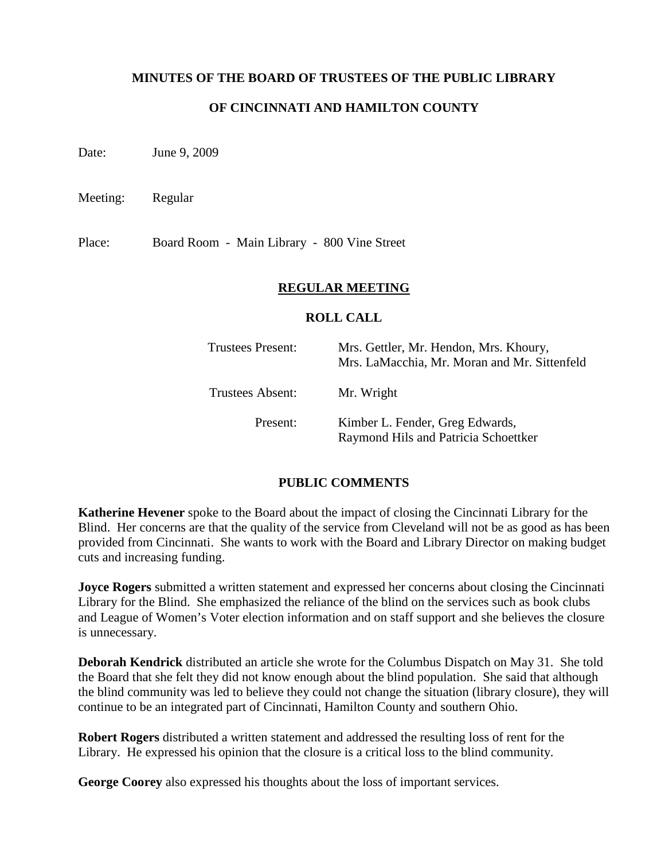### **MINUTES OF THE BOARD OF TRUSTEES OF THE PUBLIC LIBRARY**

## **OF CINCINNATI AND HAMILTON COUNTY**

Date: June 9, 2009

Meeting: Regular

Place: Board Room - Main Library - 800 Vine Street

#### **REGULAR MEETING**

#### **ROLL CALL**

| <b>Trustees Present:</b> | Mrs. Gettler, Mr. Hendon, Mrs. Khoury,<br>Mrs. LaMacchia, Mr. Moran and Mr. Sittenfeld |
|--------------------------|----------------------------------------------------------------------------------------|
| Trustees Absent:         | Mr. Wright                                                                             |
| Present:                 | Kimber L. Fender, Greg Edwards,<br>Raymond Hils and Patricia Schoettker                |

#### **PUBLIC COMMENTS**

**Katherine Hevener** spoke to the Board about the impact of closing the Cincinnati Library for the Blind. Her concerns are that the quality of the service from Cleveland will not be as good as has been provided from Cincinnati. She wants to work with the Board and Library Director on making budget cuts and increasing funding.

**Joyce Rogers** submitted a written statement and expressed her concerns about closing the Cincinnati Library for the Blind. She emphasized the reliance of the blind on the services such as book clubs and League of Women's Voter election information and on staff support and she believes the closure is unnecessary.

**Deborah Kendrick** distributed an article she wrote for the Columbus Dispatch on May 31. She told the Board that she felt they did not know enough about the blind population. She said that although the blind community was led to believe they could not change the situation (library closure), they will continue to be an integrated part of Cincinnati, Hamilton County and southern Ohio.

**Robert Rogers** distributed a written statement and addressed the resulting loss of rent for the Library. He expressed his opinion that the closure is a critical loss to the blind community.

**George Coorey** also expressed his thoughts about the loss of important services.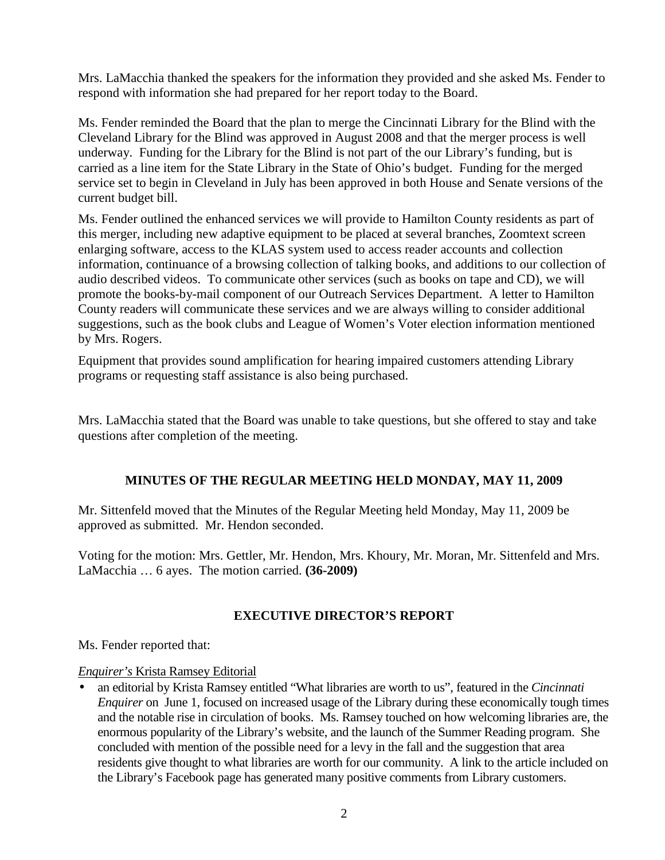Mrs. LaMacchia thanked the speakers for the information they provided and she asked Ms. Fender to respond with information she had prepared for her report today to the Board.

Ms. Fender reminded the Board that the plan to merge the Cincinnati Library for the Blind with the Cleveland Library for the Blind was approved in August 2008 and that the merger process is well underway. Funding for the Library for the Blind is not part of the our Library's funding, but is carried as a line item for the State Library in the State of Ohio's budget. Funding for the merged service set to begin in Cleveland in July has been approved in both House and Senate versions of the current budget bill.

Ms. Fender outlined the enhanced services we will provide to Hamilton County residents as part of this merger, including new adaptive equipment to be placed at several branches, Zoomtext screen enlarging software, access to the KLAS system used to access reader accounts and collection information, continuance of a browsing collection of talking books, and additions to our collection of audio described videos. To communicate other services (such as books on tape and CD), we will promote the books-by-mail component of our Outreach Services Department. A letter to Hamilton County readers will communicate these services and we are always willing to consider additional suggestions, such as the book clubs and League of Women's Voter election information mentioned by Mrs. Rogers.

Equipment that provides sound amplification for hearing impaired customers attending Library programs or requesting staff assistance is also being purchased.

Mrs. LaMacchia stated that the Board was unable to take questions, but she offered to stay and take questions after completion of the meeting.

## **MINUTES OF THE REGULAR MEETING HELD MONDAY, MAY 11, 2009**

Mr. Sittenfeld moved that the Minutes of the Regular Meeting held Monday, May 11, 2009 be approved as submitted. Mr. Hendon seconded.

Voting for the motion: Mrs. Gettler, Mr. Hendon, Mrs. Khoury, Mr. Moran, Mr. Sittenfeld and Mrs. LaMacchia … 6 ayes. The motion carried. **(36-2009)**

# **EXECUTIVE DIRECTOR'S REPORT**

Ms. Fender reported that:

## *Enquirer's* Krista Ramsey Editorial

• an editorial by Krista Ramsey entitled "What libraries are worth to us", featured in the *Cincinnati Enquirer* on June 1, focused on increased usage of the Library during these economically tough times and the notable rise in circulation of books. Ms. Ramsey touched on how welcoming libraries are, the enormous popularity of the Library's website, and the launch of the Summer Reading program. She concluded with mention of the possible need for a levy in the fall and the suggestion that area residents give thought to what libraries are worth for our community. A link to the article included on the Library's Facebook page has generated many positive comments from Library customers.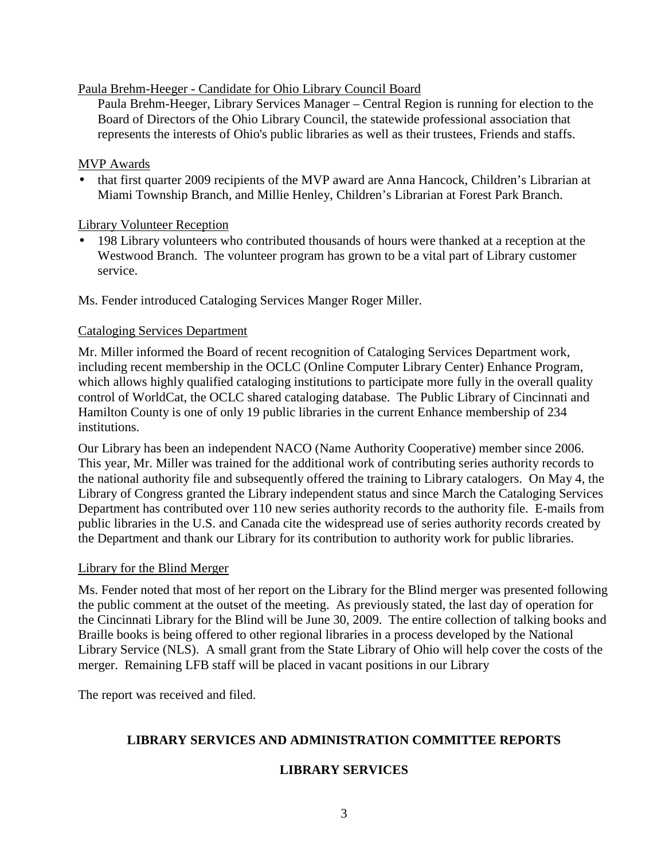Paula Brehm-Heeger - Candidate for Ohio Library Council Board

Paula Brehm-Heeger, Library Services Manager – Central Region is running for election to the Board of Directors of the Ohio Library Council, the statewide professional association that represents the interests of Ohio's public libraries as well as their trustees, Friends and staffs.

#### MVP Awards

• that first quarter 2009 recipients of the MVP award are Anna Hancock, Children's Librarian at Miami Township Branch, and Millie Henley, Children's Librarian at Forest Park Branch.

Library Volunteer Reception

• 198 Library volunteers who contributed thousands of hours were thanked at a reception at the Westwood Branch. The volunteer program has grown to be a vital part of Library customer service.

Ms. Fender introduced Cataloging Services Manger Roger Miller.

### Cataloging Services Department

Mr. Miller informed the Board of recent recognition of Cataloging Services Department work, including recent membership in the OCLC (Online Computer Library Center) Enhance Program, which allows highly qualified cataloging institutions to participate more fully in the overall quality control of WorldCat, the OCLC shared cataloging database. The Public Library of Cincinnati and Hamilton County is one of only 19 public libraries in the current Enhance membership of 234 institutions.

Our Library has been an independent NACO (Name Authority Cooperative) member since 2006. This year, Mr. Miller was trained for the additional work of contributing series authority records to the national authority file and subsequently offered the training to Library catalogers. On May 4, the Library of Congress granted the Library independent status and since March the Cataloging Services Department has contributed over 110 new series authority records to the authority file. E-mails from public libraries in the U.S. and Canada cite the widespread use of series authority records created by the Department and thank our Library for its contribution to authority work for public libraries.

#### Library for the Blind Merger

Ms. Fender noted that most of her report on the Library for the Blind merger was presented following the public comment at the outset of the meeting. As previously stated, the last day of operation for the Cincinnati Library for the Blind will be June 30, 2009. The entire collection of talking books and Braille books is being offered to other regional libraries in a process developed by the National Library Service (NLS). A small grant from the State Library of Ohio will help cover the costs of the merger. Remaining LFB staff will be placed in vacant positions in our Library

The report was received and filed.

# **LIBRARY SERVICES AND ADMINISTRATION COMMITTEE REPORTS**

## **LIBRARY SERVICES**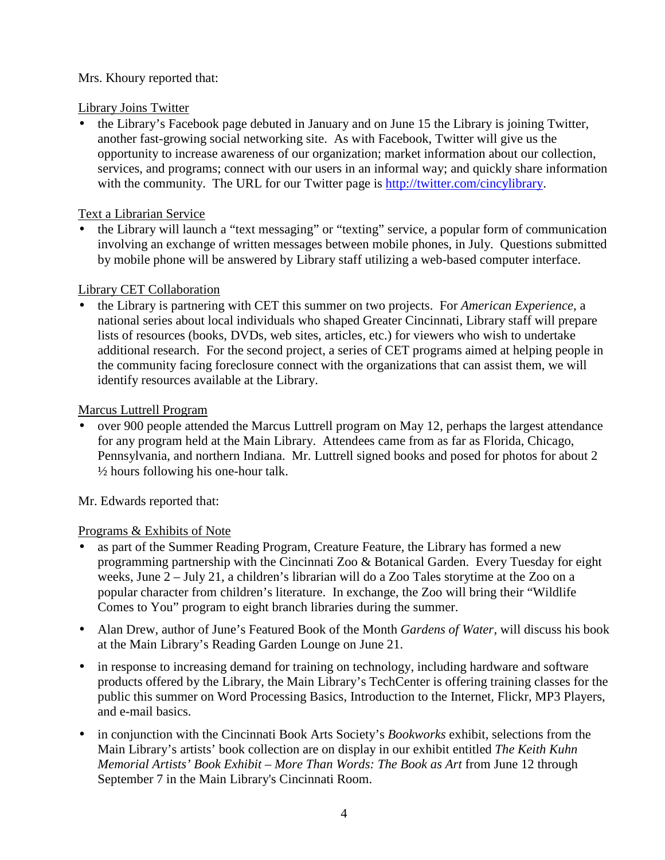# Mrs. Khoury reported that:

### Library Joins Twitter

• the Library's Facebook page debuted in January and on June 15 the Library is joining Twitter, another fast-growing social networking site. As with Facebook, Twitter will give us the opportunity to increase awareness of our organization; market information about our collection, services, and programs; connect with our users in an informal way; and quickly share information with the community. The URL for our Twitter page is http://twitter.com/cincylibrary.

## Text a Librarian Service

• the Library will launch a "text messaging" or "texting" service, a popular form of communication involving an exchange of written messages between mobile phones, in July. Questions submitted by mobile phone will be answered by Library staff utilizing a web-based computer interface.

# Library CET Collaboration

• the Library is partnering with CET this summer on two projects. For *American Experience*, a national series about local individuals who shaped Greater Cincinnati, Library staff will prepare lists of resources (books, DVDs, web sites, articles, etc.) for viewers who wish to undertake additional research. For the second project, a series of CET programs aimed at helping people in the community facing foreclosure connect with the organizations that can assist them, we will identify resources available at the Library.

# Marcus Luttrell Program

• over 900 people attended the Marcus Luttrell program on May 12, perhaps the largest attendance for any program held at the Main Library. Attendees came from as far as Florida, Chicago, Pennsylvania, and northern Indiana. Mr. Luttrell signed books and posed for photos for about 2  $\frac{1}{2}$  hours following his one-hour talk.

Mr. Edwards reported that:

# Programs & Exhibits of Note

- as part of the Summer Reading Program, Creature Feature, the Library has formed a new programming partnership with the Cincinnati Zoo & Botanical Garden. Every Tuesday for eight weeks, June 2 – July 21, a children's librarian will do a Zoo Tales storytime at the Zoo on a popular character from children's literature. In exchange, the Zoo will bring their "Wildlife Comes to You" program to eight branch libraries during the summer.
- Alan Drew, author of June's Featured Book of the Month *Gardens of Water*, will discuss his book at the Main Library's Reading Garden Lounge on June 21.
- in response to increasing demand for training on technology, including hardware and software products offered by the Library, the Main Library's TechCenter is offering training classes for the public this summer on Word Processing Basics, Introduction to the Internet, Flickr, MP3 Players, and e-mail basics.
- in conjunction with the Cincinnati Book Arts Society's *Bookworks* exhibit, selections from the Main Library's artists' book collection are on display in our exhibit entitled *The Keith Kuhn Memorial Artists' Book Exhibit – More Than Words: The Book as Art* from June 12 through September 7 in the Main Library's Cincinnati Room.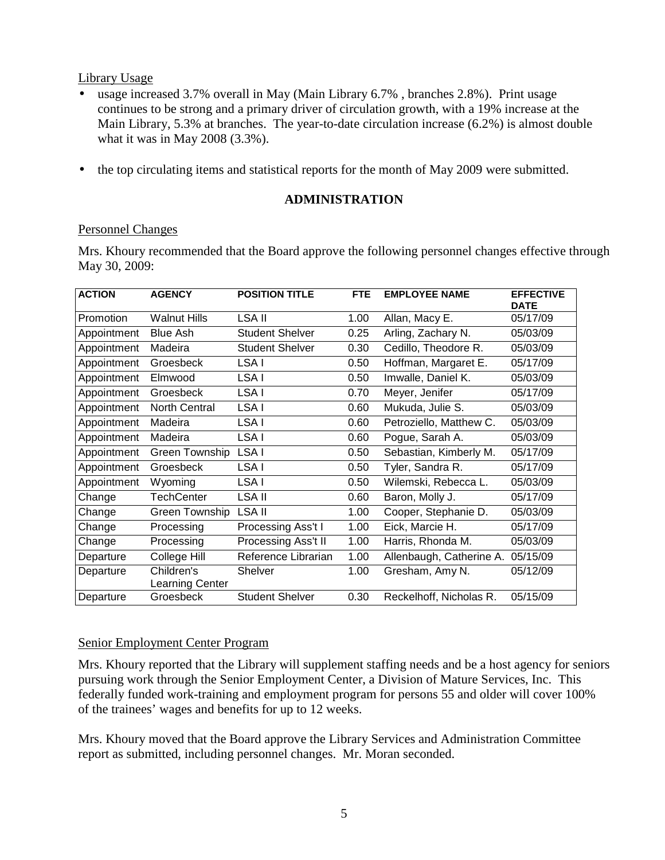Library Usage

- usage increased 3.7% overall in May (Main Library 6.7%, branches 2.8%). Print usage continues to be strong and a primary driver of circulation growth, with a 19% increase at the Main Library, 5.3% at branches. The year-to-date circulation increase (6.2%) is almost double what it was in May 2008 (3.3%).
- the top circulating items and statistical reports for the month of May 2009 were submitted.

## **ADMINISTRATION**

### Personnel Changes

Mrs. Khoury recommended that the Board approve the following personnel changes effective through May 30, 2009:

| <b>ACTION</b> | <b>AGENCY</b>                 | <b>POSITION TITLE</b>  | <b>FTE</b> | <b>EMPLOYEE NAME</b>     | <b>EFFECTIVE</b><br><b>DATE</b> |
|---------------|-------------------------------|------------------------|------------|--------------------------|---------------------------------|
| Promotion     | <b>Walnut Hills</b>           | LSA II                 | 1.00       | Allan, Macy E.           | 05/17/09                        |
| Appointment   | <b>Blue Ash</b>               | <b>Student Shelver</b> | 0.25       | Arling, Zachary N.       | 05/03/09                        |
| Appointment   | Madeira                       | <b>Student Shelver</b> | 0.30       | Cedillo, Theodore R.     | 05/03/09                        |
| Appointment   | Groesbeck                     | LSA I                  | 0.50       | Hoffman, Margaret E.     | 05/17/09                        |
| Appointment   | Elmwood                       | LSA I                  | 0.50       | Imwalle, Daniel K.       | 05/03/09                        |
| Appointment   | Groesbeck                     | LSA I                  | 0.70       | Meyer, Jenifer           | 05/17/09                        |
| Appointment   | <b>North Central</b>          | LSA I                  | 0.60       | Mukuda, Julie S.         | 05/03/09                        |
| Appointment   | Madeira                       | LSA I                  | 0.60       | Petroziello, Matthew C.  | 05/03/09                        |
| Appointment   | Madeira                       | LSA I                  | 0.60       | Pogue, Sarah A.          | 05/03/09                        |
| Appointment   | Green Township                | LSA I                  | 0.50       | Sebastian, Kimberly M.   | 05/17/09                        |
| Appointment   | Groesbeck                     | LSA I                  | 0.50       | Tyler, Sandra R.         | 05/17/09                        |
| Appointment   | Wyoming                       | LSA I                  | 0.50       | Wilemski, Rebecca L.     | 05/03/09                        |
| Change        | <b>TechCenter</b>             | LSA II                 | 0.60       | Baron, Molly J.          | 05/17/09                        |
| Change        | Green Township                | <b>LSA II</b>          | 1.00       | Cooper, Stephanie D.     | 05/03/09                        |
| Change        | Processing                    | Processing Ass't I     | 1.00       | Eick, Marcie H.          | 05/17/09                        |
| Change        | Processing                    | Processing Ass't II    | 1.00       | Harris, Rhonda M.        | 05/03/09                        |
| Departure     | College Hill                  | Reference Librarian    | 1.00       | Allenbaugh, Catherine A. | 05/15/09                        |
| Departure     | Children's<br>Learning Center | <b>Shelver</b>         | 1.00       | Gresham, Amy N.          | 05/12/09                        |
| Departure     | Groesbeck                     | <b>Student Shelver</b> | 0.30       | Reckelhoff, Nicholas R.  | 05/15/09                        |

## Senior Employment Center Program

Mrs. Khoury reported that the Library will supplement staffing needs and be a host agency for seniors pursuing work through the Senior Employment Center, a Division of Mature Services, Inc. This federally funded work-training and employment program for persons 55 and older will cover 100% of the trainees' wages and benefits for up to 12 weeks.

Mrs. Khoury moved that the Board approve the Library Services and Administration Committee report as submitted, including personnel changes. Mr. Moran seconded.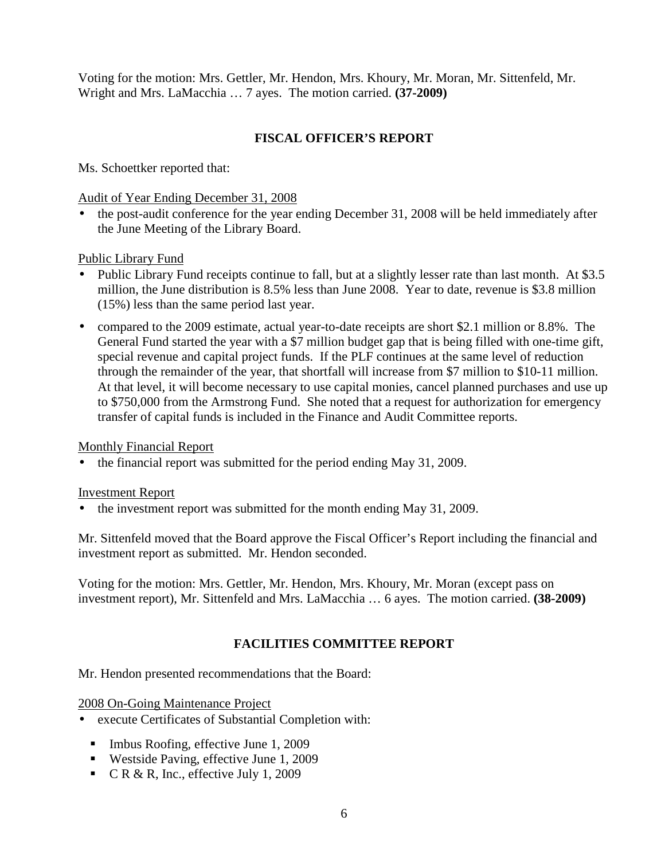Voting for the motion: Mrs. Gettler, Mr. Hendon, Mrs. Khoury, Mr. Moran, Mr. Sittenfeld, Mr. Wright and Mrs. LaMacchia … 7 ayes. The motion carried. **(37-2009)** 

# **FISCAL OFFICER'S REPORT**

Ms. Schoettker reported that:

Audit of Year Ending December 31, 2008

• the post-audit conference for the year ending December 31, 2008 will be held immediately after the June Meeting of the Library Board.

Public Library Fund

- Public Library Fund receipts continue to fall, but at a slightly lesser rate than last month. At \$3.5 million, the June distribution is 8.5% less than June 2008. Year to date, revenue is \$3.8 million (15%) less than the same period last year.
- compared to the 2009 estimate, actual year-to-date receipts are short \$2.1 million or 8.8%. The General Fund started the year with a \$7 million budget gap that is being filled with one-time gift, special revenue and capital project funds. If the PLF continues at the same level of reduction through the remainder of the year, that shortfall will increase from \$7 million to \$10-11 million. At that level, it will become necessary to use capital monies, cancel planned purchases and use up to \$750,000 from the Armstrong Fund. She noted that a request for authorization for emergency transfer of capital funds is included in the Finance and Audit Committee reports.

Monthly Financial Report

• the financial report was submitted for the period ending May 31, 2009.

#### Investment Report

• the investment report was submitted for the month ending May 31, 2009.

Mr. Sittenfeld moved that the Board approve the Fiscal Officer's Report including the financial and investment report as submitted. Mr. Hendon seconded.

Voting for the motion: Mrs. Gettler, Mr. Hendon, Mrs. Khoury, Mr. Moran (except pass on investment report), Mr. Sittenfeld and Mrs. LaMacchia … 6 ayes. The motion carried. **(38-2009)**

## **FACILITIES COMMITTEE REPORT**

Mr. Hendon presented recommendations that the Board:

2008 On-Going Maintenance Project

- execute Certificates of Substantial Completion with:
	- Imbus Roofing, effective June 1, 2009
	- Westside Paving, effective June 1, 2009
	- $\blacksquare$  C R & R, Inc., effective July 1, 2009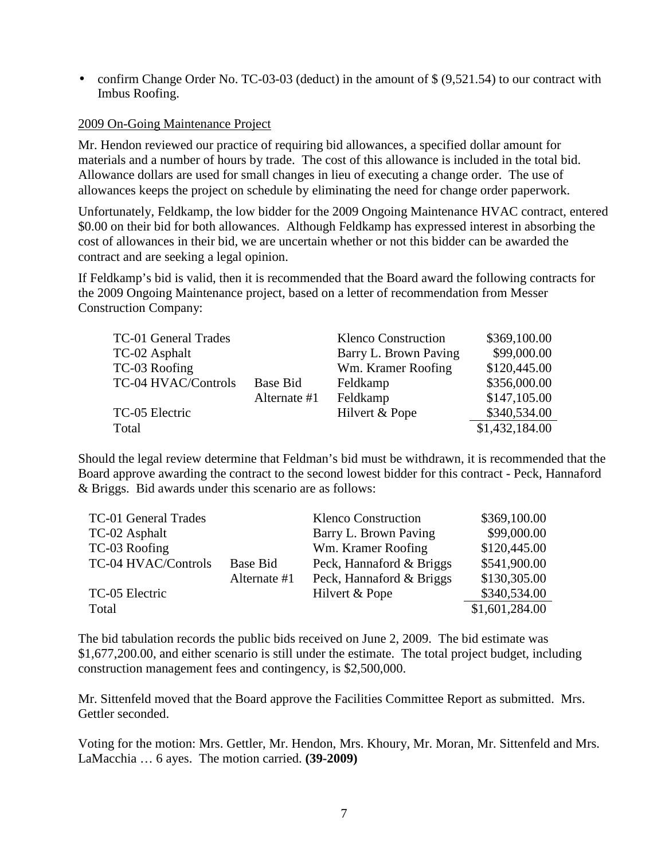• confirm Change Order No. TC-03-03 (deduct) in the amount of  $\frac{1}{2}$  (9,521.54) to our contract with Imbus Roofing.

### 2009 On-Going Maintenance Project

Mr. Hendon reviewed our practice of requiring bid allowances, a specified dollar amount for materials and a number of hours by trade. The cost of this allowance is included in the total bid. Allowance dollars are used for small changes in lieu of executing a change order. The use of allowances keeps the project on schedule by eliminating the need for change order paperwork.

Unfortunately, Feldkamp, the low bidder for the 2009 Ongoing Maintenance HVAC contract, entered \$0.00 on their bid for both allowances. Although Feldkamp has expressed interest in absorbing the cost of allowances in their bid, we are uncertain whether or not this bidder can be awarded the contract and are seeking a legal opinion.

If Feldkamp's bid is valid, then it is recommended that the Board award the following contracts for the 2009 Ongoing Maintenance project, based on a letter of recommendation from Messer Construction Company:

| TC-01 General Trades |                 | <b>Klenco Construction</b> | \$369,100.00   |
|----------------------|-----------------|----------------------------|----------------|
| TC-02 Asphalt        |                 | Barry L. Brown Paving      | \$99,000.00    |
| TC-03 Roofing        |                 | Wm. Kramer Roofing         | \$120,445.00   |
| TC-04 HVAC/Controls  | <b>Base Bid</b> | Feldkamp                   | \$356,000.00   |
|                      | Alternate #1    | Feldkamp                   | \$147,105.00   |
| TC-05 Electric       |                 | Hilvert & Pope             | \$340,534.00   |
| Total                |                 |                            | \$1,432,184.00 |

Should the legal review determine that Feldman's bid must be withdrawn, it is recommended that the Board approve awarding the contract to the second lowest bidder for this contract - Peck, Hannaford & Briggs. Bid awards under this scenario are as follows:

| TC-01 General Trades |              | <b>Klenco Construction</b> | \$369,100.00   |
|----------------------|--------------|----------------------------|----------------|
| TC-02 Asphalt        |              | Barry L. Brown Paving      | \$99,000.00    |
| TC-03 Roofing        |              | Wm. Kramer Roofing         | \$120,445.00   |
| TC-04 HVAC/Controls  | Base Bid     | Peck, Hannaford & Briggs   | \$541,900.00   |
|                      | Alternate #1 | Peck, Hannaford & Briggs   | \$130,305.00   |
| TC-05 Electric       |              | Hilvert & Pope             | \$340,534.00   |
| Total                |              |                            | \$1,601,284.00 |

The bid tabulation records the public bids received on June 2, 2009. The bid estimate was \$1,677,200.00, and either scenario is still under the estimate. The total project budget, including construction management fees and contingency, is \$2,500,000.

Mr. Sittenfeld moved that the Board approve the Facilities Committee Report as submitted. Mrs. Gettler seconded.

Voting for the motion: Mrs. Gettler, Mr. Hendon, Mrs. Khoury, Mr. Moran, Mr. Sittenfeld and Mrs. LaMacchia … 6 ayes. The motion carried. **(39-2009)**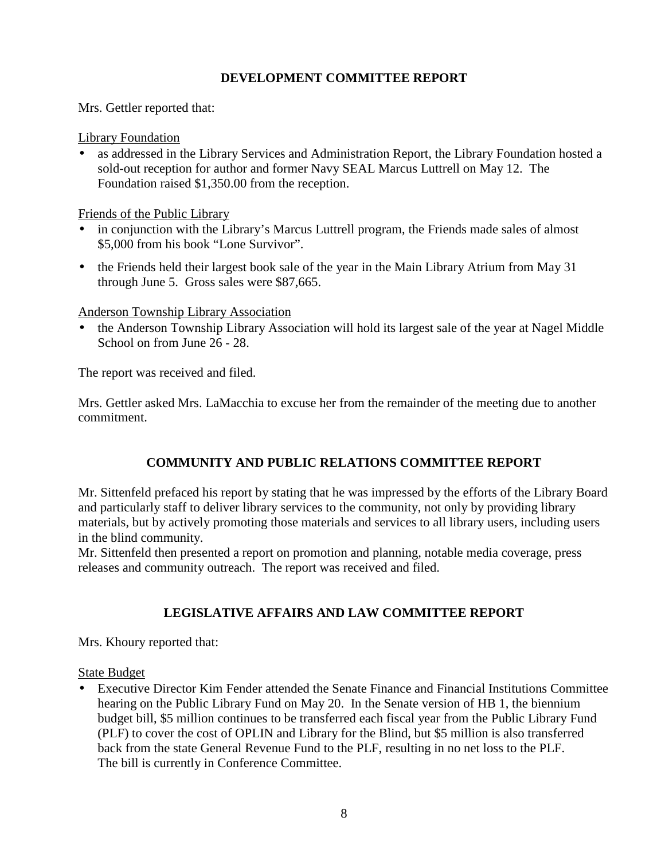## **DEVELOPMENT COMMITTEE REPORT**

Mrs. Gettler reported that:

Library Foundation

• as addressed in the Library Services and Administration Report, the Library Foundation hosted a sold-out reception for author and former Navy SEAL Marcus Luttrell on May 12. The Foundation raised \$1,350.00 from the reception.

Friends of the Public Library

- in conjunction with the Library's Marcus Luttrell program, the Friends made sales of almost \$5,000 from his book "Lone Survivor".
- the Friends held their largest book sale of the year in the Main Library Atrium from May 31 through June 5. Gross sales were \$87,665.

Anderson Township Library Association

• the Anderson Township Library Association will hold its largest sale of the year at Nagel Middle School on from June 26 - 28.

The report was received and filed.

Mrs. Gettler asked Mrs. LaMacchia to excuse her from the remainder of the meeting due to another commitment.

# **COMMUNITY AND PUBLIC RELATIONS COMMITTEE REPORT**

Mr. Sittenfeld prefaced his report by stating that he was impressed by the efforts of the Library Board and particularly staff to deliver library services to the community, not only by providing library materials, but by actively promoting those materials and services to all library users, including users in the blind community.

Mr. Sittenfeld then presented a report on promotion and planning, notable media coverage, press releases and community outreach. The report was received and filed.

# **LEGISLATIVE AFFAIRS AND LAW COMMITTEE REPORT**

Mrs. Khoury reported that:

State Budget

• Executive Director Kim Fender attended the Senate Finance and Financial Institutions Committee hearing on the Public Library Fund on May 20. In the Senate version of HB 1, the biennium budget bill, \$5 million continues to be transferred each fiscal year from the Public Library Fund (PLF) to cover the cost of OPLIN and Library for the Blind, but \$5 million is also transferred back from the state General Revenue Fund to the PLF, resulting in no net loss to the PLF. The bill is currently in Conference Committee.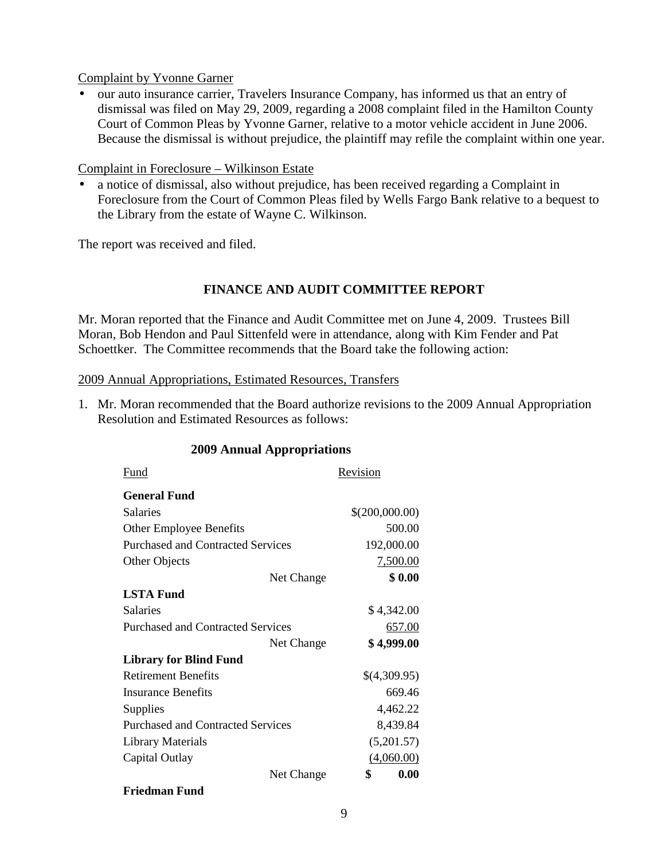Complaint by Yvonne Garner

• our auto insurance carrier, Travelers Insurance Company, has informed us that an entry of dismissal was filed on May 29, 2009, regarding a 2008 complaint filed in the Hamilton County Court of Common Pleas by Yvonne Garner, relative to a motor vehicle accident in June 2006. Because the dismissal is without prejudice, the plaintiff may refile the complaint within one year.

Complaint in Foreclosure – Wilkinson Estate

• a notice of dismissal, also without prejudice, has been received regarding a Complaint in Foreclosure from the Court of Common Pleas filed by Wells Fargo Bank relative to a bequest to the Library from the estate of Wayne C. Wilkinson.

The report was received and filed.

## **FINANCE AND AUDIT COMMITTEE REPORT**

Mr. Moran reported that the Finance and Audit Committee met on June 4, 2009. Trustees Bill Moran, Bob Hendon and Paul Sittenfeld were in attendance, along with Kim Fender and Pat Schoettker. The Committee recommends that the Board take the following action:

#### 2009 Annual Appropriations, Estimated Resources, Transfers

1. Mr. Moran recommended that the Board authorize revisions to the 2009 Annual Appropriation Resolution and Estimated Resources as follows:

#### **2009 Annual Appropriations**

| Fund                                     |            | Revision       |
|------------------------------------------|------------|----------------|
| <b>General Fund</b>                      |            |                |
| <b>Salaries</b>                          |            | \$(200,000.00) |
| <b>Other Employee Benefits</b>           |            | 500.00         |
| <b>Purchased and Contracted Services</b> |            | 192,000.00     |
| Other Objects                            |            | 7,500.00       |
|                                          | Net Change | \$0.00         |
| <b>LSTA Fund</b>                         |            |                |
| <b>Salaries</b>                          |            | \$4,342.00     |
| <b>Purchased and Contracted Services</b> |            | 657.00         |
|                                          | Net Change | \$4,999.00     |
| <b>Library for Blind Fund</b>            |            |                |
| <b>Retirement Benefits</b>               |            | \$(4,309.95)   |
| <b>Insurance Benefits</b>                |            | 669.46         |
| Supplies                                 |            | 4,462.22       |
| <b>Purchased and Contracted Services</b> |            | 8,439.84       |
| <b>Library Materials</b>                 |            | (5,201.57)     |
| Capital Outlay                           |            | (4,060.00)     |
|                                          | Net Change | 0.00<br>\$     |
| Friedman Fund                            |            |                |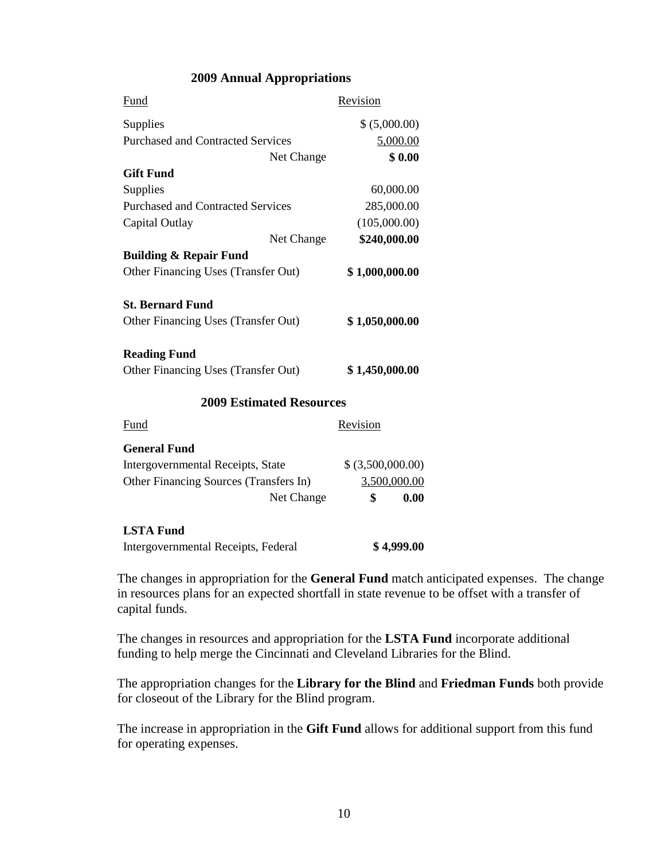#### **2009 Annual Appropriations**

| Fund                                     | Revision          |
|------------------------------------------|-------------------|
| Supplies                                 | \$ (5,000.00)     |
| <b>Purchased and Contracted Services</b> | 5,000.00          |
| Net Change                               | \$0.00            |
| <b>Gift Fund</b>                         |                   |
| Supplies                                 | 60,000.00         |
| <b>Purchased and Contracted Services</b> | 285,000.00        |
| Capital Outlay                           | (105,000.00)      |
| Net Change                               | \$240,000.00      |
| <b>Building &amp; Repair Fund</b>        |                   |
| Other Financing Uses (Transfer Out)      | \$1,000,000.00    |
| <b>St. Bernard Fund</b>                  |                   |
| Other Financing Uses (Transfer Out)      | \$1,050,000.00    |
| <b>Reading Fund</b>                      |                   |
| Other Financing Uses (Transfer Out)      | \$1,450,000.00    |
| <b>2009 Estimated Resources</b>          |                   |
| Fund                                     | Revision          |
| <b>General Fund</b>                      |                   |
| Intergovernmental Receipts, State        | \$ (3,500,000.00) |
| Other Financing Sources (Transfers In)   | 3,500,000.00      |
| Net Change                               | 0.00<br>\$        |
| <b>LSTA Fund</b>                         |                   |
| Intergovernmental Receipts, Federal      | \$4,999.00        |

The changes in appropriation for the **General Fund** match anticipated expenses. The change in resources plans for an expected shortfall in state revenue to be offset with a transfer of capital funds.

The changes in resources and appropriation for the **LSTA Fund** incorporate additional funding to help merge the Cincinnati and Cleveland Libraries for the Blind.

The appropriation changes for the **Library for the Blind** and **Friedman Funds** both provide for closeout of the Library for the Blind program.

The increase in appropriation in the **Gift Fund** allows for additional support from this fund for operating expenses.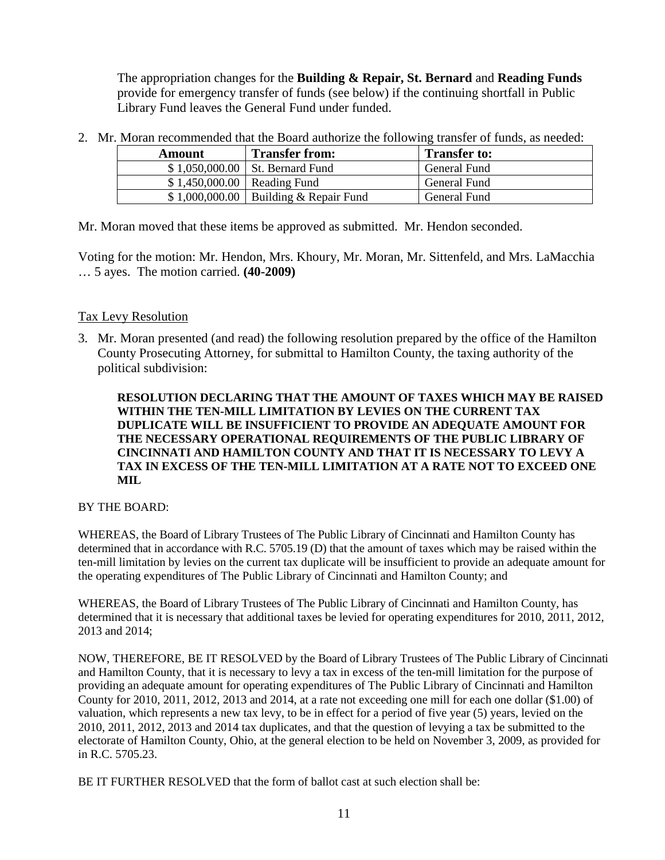The appropriation changes for the **Building & Repair, St. Bernard** and **Reading Funds** provide for emergency transfer of funds (see below) if the continuing shortfall in Public Library Fund leaves the General Fund under funded.

2. Mr. Moran recommended that the Board authorize the following transfer of funds, as needed:

| Amount                       | <b>Transfer from:</b>                    | <b>Transfer to:</b> |
|------------------------------|------------------------------------------|---------------------|
|                              | $$1,050,000.00$ St. Bernard Fund         | General Fund        |
| $$1,450,000.00$ Reading Fund |                                          | General Fund        |
|                              | $$1,000,000.00$   Building & Repair Fund | General Fund        |

Mr. Moran moved that these items be approved as submitted. Mr. Hendon seconded.

Voting for the motion: Mr. Hendon, Mrs. Khoury, Mr. Moran, Mr. Sittenfeld, and Mrs. LaMacchia … 5 ayes. The motion carried. **(40-2009)** 

## Tax Levy Resolution

3. Mr. Moran presented (and read) the following resolution prepared by the office of the Hamilton County Prosecuting Attorney, for submittal to Hamilton County, the taxing authority of the political subdivision:

#### **RESOLUTION DECLARING THAT THE AMOUNT OF TAXES WHICH MAY BE RAISED WITHIN THE TEN-MILL LIMITATION BY LEVIES ON THE CURRENT TAX DUPLICATE WILL BE INSUFFICIENT TO PROVIDE AN ADEQUATE AMOUNT FOR THE NECESSARY OPERATIONAL REQUIREMENTS OF THE PUBLIC LIBRARY OF CINCINNATI AND HAMILTON COUNTY AND THAT IT IS NECESSARY TO LEVY A TAX IN EXCESS OF THE TEN-MILL LIMITATION AT A RATE NOT TO EXCEED ONE MIL**

#### BY THE BOARD:

WHEREAS, the Board of Library Trustees of The Public Library of Cincinnati and Hamilton County has determined that in accordance with R.C. 5705.19 (D) that the amount of taxes which may be raised within the ten-mill limitation by levies on the current tax duplicate will be insufficient to provide an adequate amount for the operating expenditures of The Public Library of Cincinnati and Hamilton County; and

WHEREAS, the Board of Library Trustees of The Public Library of Cincinnati and Hamilton County, has determined that it is necessary that additional taxes be levied for operating expenditures for 2010, 2011, 2012, 2013 and 2014;

NOW, THEREFORE, BE IT RESOLVED by the Board of Library Trustees of The Public Library of Cincinnati and Hamilton County, that it is necessary to levy a tax in excess of the ten-mill limitation for the purpose of providing an adequate amount for operating expenditures of The Public Library of Cincinnati and Hamilton County for 2010, 2011, 2012, 2013 and 2014, at a rate not exceeding one mill for each one dollar (\$1.00) of valuation, which represents a new tax levy, to be in effect for a period of five year (5) years, levied on the 2010, 2011, 2012, 2013 and 2014 tax duplicates, and that the question of levying a tax be submitted to the electorate of Hamilton County, Ohio, at the general election to be held on November 3, 2009, as provided for in R.C. 5705.23.

BE IT FURTHER RESOLVED that the form of ballot cast at such election shall be: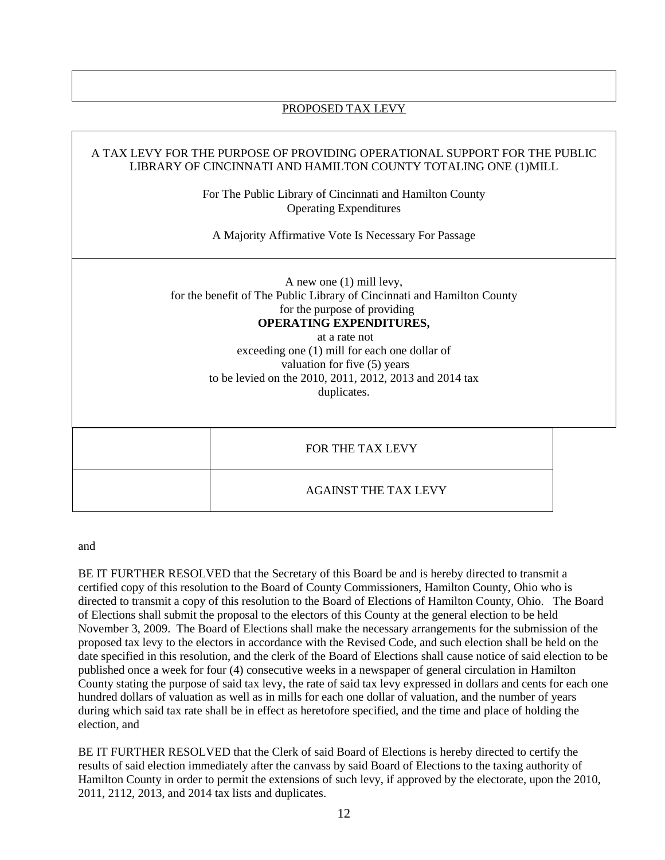#### PROPOSED TAX LEVY

#### A TAX LEVY FOR THE PURPOSE OF PROVIDING OPERATIONAL SUPPORT FOR THE PUBLIC LIBRARY OF CINCINNATI AND HAMILTON COUNTY TOTALING ONE (1)MILL

For The Public Library of Cincinnati and Hamilton County Operating Expenditures

A Majority Affirmative Vote Is Necessary For Passage

A new one (1) mill levy, for the benefit of The Public Library of Cincinnati and Hamilton County for the purpose of providing **OPERATING EXPENDITURES,**  at a rate not

exceeding one (1) mill for each one dollar of valuation for five (5) years to be levied on the 2010, 2011, 2012, 2013 and 2014 tax duplicates.

| FOR THE TAX LEVY            |  |
|-----------------------------|--|
| <b>AGAINST THE TAX LEVY</b> |  |

and

BE IT FURTHER RESOLVED that the Secretary of this Board be and is hereby directed to transmit a certified copy of this resolution to the Board of County Commissioners, Hamilton County, Ohio who is directed to transmit a copy of this resolution to the Board of Elections of Hamilton County, Ohio. The Board of Elections shall submit the proposal to the electors of this County at the general election to be held November 3, 2009. The Board of Elections shall make the necessary arrangements for the submission of the proposed tax levy to the electors in accordance with the Revised Code, and such election shall be held on the date specified in this resolution, and the clerk of the Board of Elections shall cause notice of said election to be published once a week for four (4) consecutive weeks in a newspaper of general circulation in Hamilton County stating the purpose of said tax levy, the rate of said tax levy expressed in dollars and cents for each one hundred dollars of valuation as well as in mills for each one dollar of valuation, and the number of years during which said tax rate shall be in effect as heretofore specified, and the time and place of holding the election, and

BE IT FURTHER RESOLVED that the Clerk of said Board of Elections is hereby directed to certify the results of said election immediately after the canvass by said Board of Elections to the taxing authority of Hamilton County in order to permit the extensions of such levy, if approved by the electorate, upon the 2010, 2011, 2112, 2013, and 2014 tax lists and duplicates.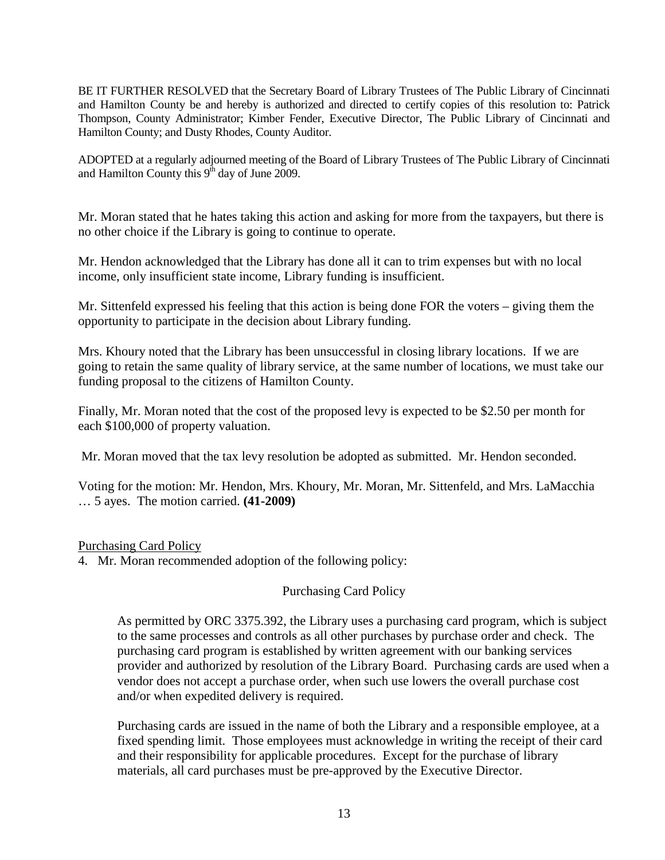BE IT FURTHER RESOLVED that the Secretary Board of Library Trustees of The Public Library of Cincinnati and Hamilton County be and hereby is authorized and directed to certify copies of this resolution to: Patrick Thompson, County Administrator; Kimber Fender, Executive Director, The Public Library of Cincinnati and Hamilton County; and Dusty Rhodes, County Auditor.

ADOPTED at a regularly adjourned meeting of the Board of Library Trustees of The Public Library of Cincinnati and Hamilton County this  $9<sup>th</sup>$  day of June 2009.

Mr. Moran stated that he hates taking this action and asking for more from the taxpayers, but there is no other choice if the Library is going to continue to operate.

Mr. Hendon acknowledged that the Library has done all it can to trim expenses but with no local income, only insufficient state income, Library funding is insufficient.

Mr. Sittenfeld expressed his feeling that this action is being done FOR the voters – giving them the opportunity to participate in the decision about Library funding.

Mrs. Khoury noted that the Library has been unsuccessful in closing library locations. If we are going to retain the same quality of library service, at the same number of locations, we must take our funding proposal to the citizens of Hamilton County.

Finally, Mr. Moran noted that the cost of the proposed levy is expected to be \$2.50 per month for each \$100,000 of property valuation.

Mr. Moran moved that the tax levy resolution be adopted as submitted. Mr. Hendon seconded.

Voting for the motion: Mr. Hendon, Mrs. Khoury, Mr. Moran, Mr. Sittenfeld, and Mrs. LaMacchia … 5 ayes. The motion carried. **(41-2009)** 

#### Purchasing Card Policy

4. Mr. Moran recommended adoption of the following policy:

## Purchasing Card Policy

As permitted by ORC 3375.392, the Library uses a purchasing card program, which is subject to the same processes and controls as all other purchases by purchase order and check. The purchasing card program is established by written agreement with our banking services provider and authorized by resolution of the Library Board. Purchasing cards are used when a vendor does not accept a purchase order, when such use lowers the overall purchase cost and/or when expedited delivery is required.

Purchasing cards are issued in the name of both the Library and a responsible employee, at a fixed spending limit. Those employees must acknowledge in writing the receipt of their card and their responsibility for applicable procedures. Except for the purchase of library materials, all card purchases must be pre-approved by the Executive Director.